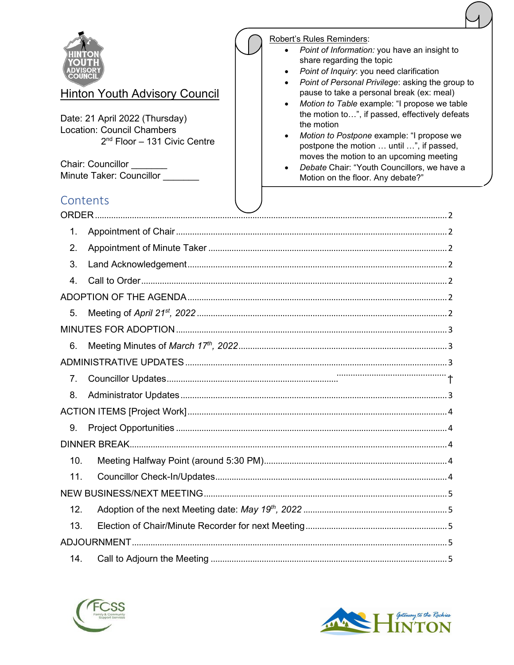| <b>Chair: Councillor</b> | <u>Hinton Youth Advisory Council</u><br>Date: 21 April 2022 (Thursday)<br><b>Location: Council Chambers</b><br>$2nd$ Floor - 131 Civic Centre<br>Minute Taker: Councillor |  | Robert's Rules Reminders:<br>Point of Information: you have an insight to<br>share regarding the topic<br>Point of Inquiry: you need clarification<br>Point of Personal Privilege: asking the group to<br>pause to take a personal break (ex: meal)<br>Motion to Table example: "I propose we table<br>the motion to", if passed, effectively defeats<br>the motion<br>Motion to Postpone example: "I propose we<br>postpone the motion  until ", if passed,<br>moves the motion to an upcoming meeting<br>Debate Chair: "Youth Councillors, we have a<br>Motion on the floor. Any debate?" |
|--------------------------|---------------------------------------------------------------------------------------------------------------------------------------------------------------------------|--|---------------------------------------------------------------------------------------------------------------------------------------------------------------------------------------------------------------------------------------------------------------------------------------------------------------------------------------------------------------------------------------------------------------------------------------------------------------------------------------------------------------------------------------------------------------------------------------------|
| Contents                 |                                                                                                                                                                           |  |                                                                                                                                                                                                                                                                                                                                                                                                                                                                                                                                                                                             |
| ORDER.                   |                                                                                                                                                                           |  |                                                                                                                                                                                                                                                                                                                                                                                                                                                                                                                                                                                             |
| 1.                       |                                                                                                                                                                           |  |                                                                                                                                                                                                                                                                                                                                                                                                                                                                                                                                                                                             |
| 2.                       |                                                                                                                                                                           |  |                                                                                                                                                                                                                                                                                                                                                                                                                                                                                                                                                                                             |
| 3.<br>4.                 |                                                                                                                                                                           |  |                                                                                                                                                                                                                                                                                                                                                                                                                                                                                                                                                                                             |
|                          |                                                                                                                                                                           |  |                                                                                                                                                                                                                                                                                                                                                                                                                                                                                                                                                                                             |
| 5.                       |                                                                                                                                                                           |  |                                                                                                                                                                                                                                                                                                                                                                                                                                                                                                                                                                                             |
|                          |                                                                                                                                                                           |  |                                                                                                                                                                                                                                                                                                                                                                                                                                                                                                                                                                                             |
| 6.                       |                                                                                                                                                                           |  |                                                                                                                                                                                                                                                                                                                                                                                                                                                                                                                                                                                             |
|                          |                                                                                                                                                                           |  |                                                                                                                                                                                                                                                                                                                                                                                                                                                                                                                                                                                             |
| 7.                       |                                                                                                                                                                           |  |                                                                                                                                                                                                                                                                                                                                                                                                                                                                                                                                                                                             |
| 8.                       |                                                                                                                                                                           |  |                                                                                                                                                                                                                                                                                                                                                                                                                                                                                                                                                                                             |
|                          |                                                                                                                                                                           |  |                                                                                                                                                                                                                                                                                                                                                                                                                                                                                                                                                                                             |
| 9.                       |                                                                                                                                                                           |  |                                                                                                                                                                                                                                                                                                                                                                                                                                                                                                                                                                                             |
|                          |                                                                                                                                                                           |  |                                                                                                                                                                                                                                                                                                                                                                                                                                                                                                                                                                                             |
| 10.                      |                                                                                                                                                                           |  |                                                                                                                                                                                                                                                                                                                                                                                                                                                                                                                                                                                             |
| 11.                      |                                                                                                                                                                           |  |                                                                                                                                                                                                                                                                                                                                                                                                                                                                                                                                                                                             |
|                          |                                                                                                                                                                           |  |                                                                                                                                                                                                                                                                                                                                                                                                                                                                                                                                                                                             |
| 12.                      |                                                                                                                                                                           |  |                                                                                                                                                                                                                                                                                                                                                                                                                                                                                                                                                                                             |
| 13.                      |                                                                                                                                                                           |  |                                                                                                                                                                                                                                                                                                                                                                                                                                                                                                                                                                                             |
|                          |                                                                                                                                                                           |  |                                                                                                                                                                                                                                                                                                                                                                                                                                                                                                                                                                                             |
| 14.                      |                                                                                                                                                                           |  |                                                                                                                                                                                                                                                                                                                                                                                                                                                                                                                                                                                             |



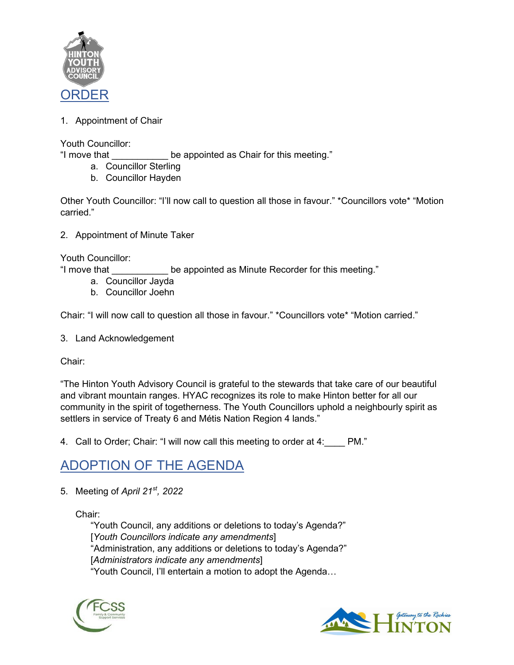

<span id="page-1-1"></span><span id="page-1-0"></span>1. Appointment of Chair

Youth Councillor:

"I move that **be appointed as Chair for this meeting.**"

- a. Councillor Sterling
- b. Councillor Hayden

Other Youth Councillor: "I'll now call to question all those in favour." \*Councillors vote\* "Motion carried."

<span id="page-1-2"></span>2. Appointment of Minute Taker

Youth Councillor:

"I move that \_\_\_\_\_\_\_\_\_\_\_ be appointed as Minute Recorder for this meeting."

- a. Councillor Jayda
- b. Councillor Joehn

Chair: "I will now call to question all those in favour." \*Councillors vote\* "Motion carried."

<span id="page-1-3"></span>3. Land Acknowledgement

Chair:

"The Hinton Youth Advisory Council is grateful to the stewards that take care of our beautiful and vibrant mountain ranges. HYAC recognizes its role to make Hinton better for all our community in the spirit of togetherness. The Youth Councillors uphold a neighbourly spirit as settlers in service of Treaty 6 and Métis Nation Region 4 lands."

<span id="page-1-4"></span>4. Call to Order; Chair: "I will now call this meeting to order at 4: PM."

#### <span id="page-1-5"></span>ADOPTION OF THE AGENDA

<span id="page-1-6"></span>5. Meeting of *April 21st, 2022*

Chair:

"Youth Council, any additions or deletions to today's Agenda?" [*Youth Councillors indicate any amendments*] "Administration, any additions or deletions to today's Agenda?" [*Administrators indicate any amendments*] "Youth Council, I'll entertain a motion to adopt the Agenda…



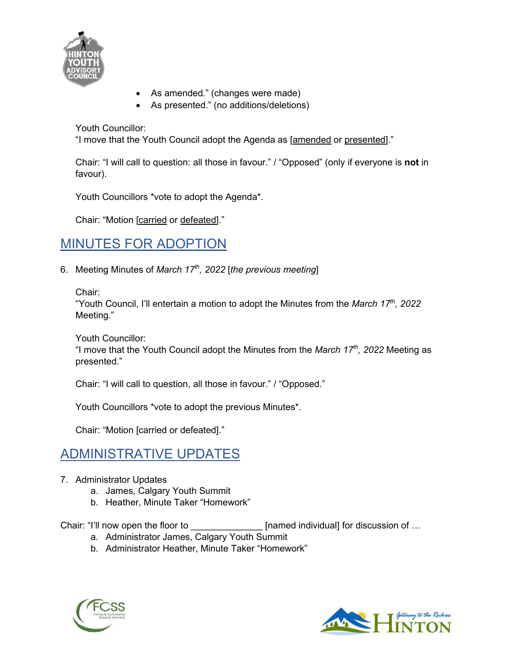

- As amended*.*" (changes were made)
- As presented." (no additions/deletions)

Youth Councillor:

"I move that the Youth Council adopt the Agenda as [amended or presented]."

Chair: "I will call to question: all those in favour." / "Opposed" (only if everyone is **not** in favour).

Youth Councillors \*vote to adopt the Agenda\*.

Chair: "Motion [carried or defeated]."

#### <span id="page-2-0"></span>MINUTES FOR ADOPTION

<span id="page-2-1"></span>6. Meeting Minutes of *March 17th, 2022* [*the previous meeting*]

Chair:

"Youth Council, I'll entertain a motion to adopt the Minutes from the *March 17th, 2022* Meeting."

Youth Councillor:

"I move that the Youth Council adopt the Minutes from the *March 17th, 2022* Meeting as presented."

Chair: "I will call to question, all those in favour." / "Opposed."

Youth Councillors \*vote to adopt the previous Minutes\*.

Chair: "Motion [carried or defeated]."

#### <span id="page-2-2"></span>ADMINISTRATIVE UPDATES

- <span id="page-2-3"></span>7. Administrator Updates
	- a. James, Calgary Youth Summit
	- b. Heather, Minute Taker "Homework"

Chair: "I'll now open the floor to \_\_\_\_\_\_\_\_\_\_\_\_\_\_\_\_\_ [named individual] for discussion of ...

- a. Administrator James, Calgary Youth Summit
- b. Administrator Heather, Minute Taker "Homework"



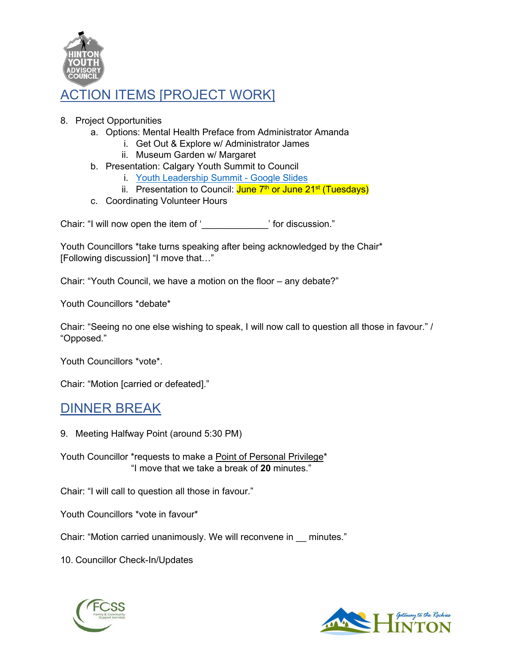

#### <span id="page-3-0"></span>ACTION ITEMS [PROJECT WORK]

- <span id="page-3-1"></span>8. Project Opportunities
	- a. Options: Mental Health Preface from Administrator Amanda
		- i. Get Out & Explore w/ Administrator James
		- ii. Museum Garden w/ Margaret
	- b. Presentation: Calgary Youth Summit to Council
		- i. [Youth Leadership Summit Google Slides](https://docs.google.com/presentation/d/1NDH2LPb5ijPwCNBtpmtllA6jhJ6IMaOuhpDu7X8sG0Q/edit#slide=id.g1235740c8f2_0_34)
		- ii. Presentation to Council: June 7<sup>th</sup> or June 21<sup>st</sup> (Tuesdays)
	- c. Coordinating Volunteer Hours

Chair: "I will now open the item of '<br>
' for discussion."

Youth Councillors \*take turns speaking after being acknowledged by the Chair\* [Following discussion] "I move that…"

Chair: "Youth Council, we have a motion on the floor – any debate?"

Youth Councillors \*debate\*

Chair: "Seeing no one else wishing to speak, I will now call to question all those in favour." / "Opposed."

Youth Councillors \*vote\*.

Chair: "Motion [carried or defeated]."

#### <span id="page-3-2"></span>DINNER BREAK

<span id="page-3-3"></span>9. Meeting Halfway Point (around 5:30 PM)

Youth Councillor \*requests to make a Point of Personal Privilege\* "I move that we take a break of **20** minutes."

Chair: "I will call to question all those in favour."

Youth Councillors \*vote in favour\*

Chair: "Motion carried unanimously. We will reconvene in \_\_ minutes."

<span id="page-3-4"></span>10. Councillor Check-In/Updates



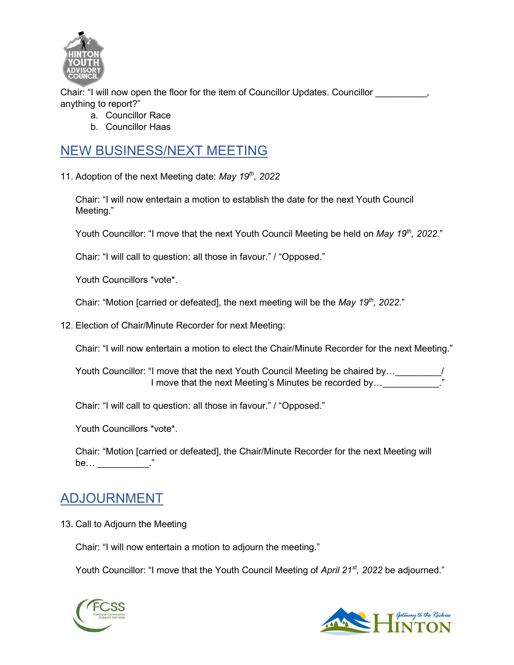

Chair: "I will now open the floor for the item of Councillor Updates. Councillor  $\qquad \qquad$ , anything to report?"

- a. Councillor Race
- b. Councillor Haas

#### <span id="page-4-0"></span>NEW BUSINESS/NEXT MEETING

<span id="page-4-1"></span>11. Adoption of the next Meeting date: *May 19th, 2022*

Chair: "I will now entertain a motion to establish the date for the next Youth Council Meeting."

Youth Councillor: "I move that the next Youth Council Meeting be held on *May 19<sup>th</sup>*, 2022."

Chair: "I will call to question: all those in favour." / "Opposed."

Youth Councillors \*vote\*.

Chair: "Motion [carried or defeated], the next meeting will be the *May 19th, 2022*."

<span id="page-4-2"></span>12. Election of Chair/Minute Recorder for next Meeting:

Chair: "I will now entertain a motion to elect the Chair/Minute Recorder for the next Meeting."

Youth Councillor: "I move that the next Youth Council Meeting be chaired by... I move that the next Meeting's Minutes be recorded by...

Chair: "I will call to question: all those in favour." / "Opposed."

Youth Councillors \*vote\*.

Chair: "Motion [carried or defeated], the Chair/Minute Recorder for the next Meeting will be…  $\qquad \qquad \vdots$ 

#### <span id="page-4-3"></span>ADJOURNMENT

<span id="page-4-4"></span>13. Call to Adjourn the Meeting

Chair: "I will now entertain a motion to adjourn the meeting."

Youth Councillor: "I move that the Youth Council Meeting of *April 21st, 2022* be adjourned."



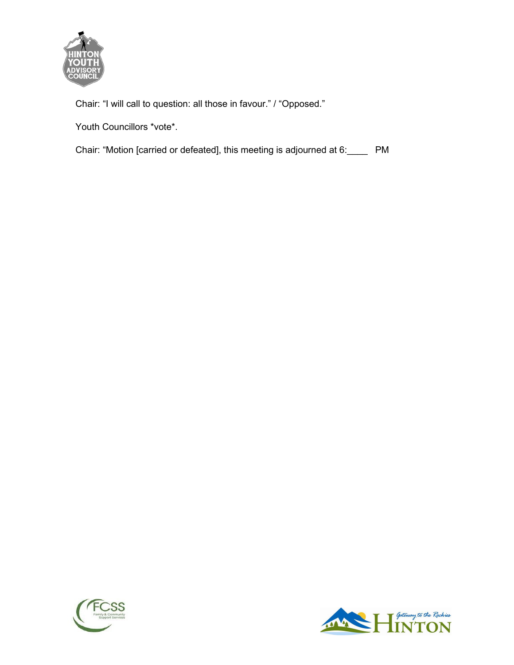

Chair: "I will call to question: all those in favour." / "Opposed."

Youth Councillors \*vote\*.

Chair: "Motion [carried or defeated], this meeting is adjourned at 6:\_\_\_\_ PM